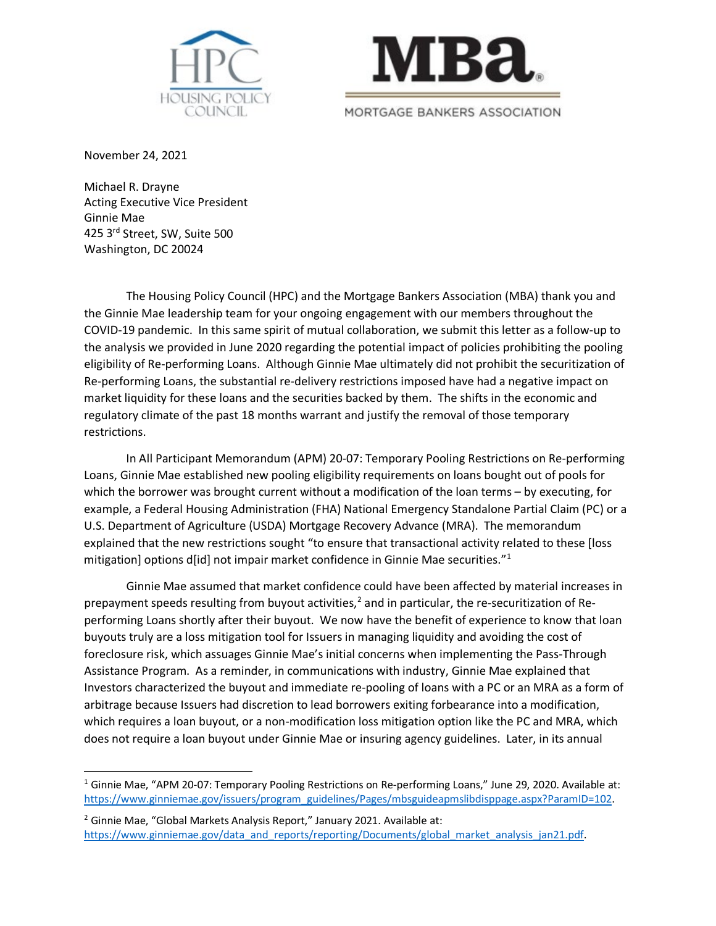



November 24, 2021

Michael R. Drayne Acting Executive Vice President Ginnie Mae 425 3rd Street, SW, Suite 500 Washington, DC 20024

The Housing Policy Council (HPC) and the Mortgage Bankers Association (MBA) thank you and the Ginnie Mae leadership team for your ongoing engagement with our members throughout the COVID-19 pandemic. In this same spirit of mutual collaboration, we submit this letter as a follow-up to the analysis we provided in June 2020 regarding the potential impact of policies prohibiting the pooling eligibility of Re-performing Loans. Although Ginnie Mae ultimately did not prohibit the securitization of Re-performing Loans, the substantial re-delivery restrictions imposed have had a negative impact on market liquidity for these loans and the securities backed by them. The shifts in the economic and regulatory climate of the past 18 months warrant and justify the removal of those temporary restrictions.

In All Participant Memorandum (APM) 20-07: Temporary Pooling Restrictions on Re-performing Loans, Ginnie Mae established new pooling eligibility requirements on loans bought out of pools for which the borrower was brought current without a modification of the loan terms – by executing, for example, a Federal Housing Administration (FHA) National Emergency Standalone Partial Claim (PC) or a U.S. Department of Agriculture (USDA) Mortgage Recovery Advance (MRA). The memorandum explained that the new restrictions sought "to ensure that transactional activity related to these [loss mitigation] options d[id] not impair market confidence in Ginnie Mae securities."<sup>[1](#page-0-0)</sup>

Ginnie Mae assumed that market confidence could have been affected by material increases in prepayment speeds resulting from buyout activities,<sup>[2](#page-0-1)</sup> and in particular, the re-securitization of Reperforming Loans shortly after their buyout. We now have the benefit of experience to know that loan buyouts truly are a loss mitigation tool for Issuers in managing liquidity and avoiding the cost of foreclosure risk, which assuages Ginnie Mae's initial concerns when implementing the Pass-Through Assistance Program. As a reminder, in communications with industry, Ginnie Mae explained that Investors characterized the buyout and immediate re-pooling of loans with a PC or an MRA as a form of arbitrage because Issuers had discretion to lead borrowers exiting forbearance into a modification, which requires a loan buyout, or a non-modification loss mitigation option like the PC and MRA, which does not require a loan buyout under Ginnie Mae or insuring agency guidelines. Later, in its annual

<span id="page-0-0"></span><sup>&</sup>lt;sup>1</sup> Ginnie Mae, "APM 20-07: Temporary Pooling Restrictions on Re-performing Loans," June 29, 2020. Available at: https://www.ginniemae.gov/issuers/program\_guidelines/Pages/mbsguideapmslibdisppage.aspx?ParamID=102.

<span id="page-0-1"></span><sup>&</sup>lt;sup>2</sup> Ginnie Mae, "Global Markets Analysis Report," January 2021. Available at: [https://www.ginniemae.gov/data\\_and\\_reports/reporting/Documents/global\\_market\\_analysis\\_jan21.pdf.](https://www.ginniemae.gov/data_and_reports/reporting/Documents/global_market_analysis_jan21.pdf)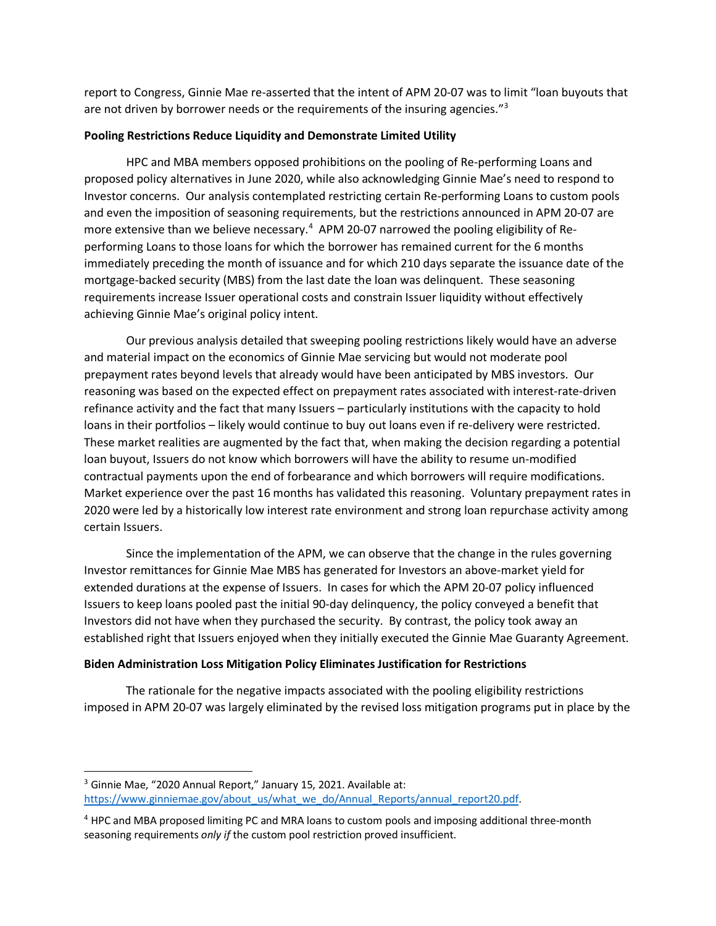report to Congress, Ginnie Mae re-asserted that the intent of APM 20-07 was to limit "loan buyouts that are not driven by borrower needs or the requirements of the insuring agencies."<sup>3</sup>

## **Pooling Restrictions Reduce Liquidity and Demonstrate Limited Utility**

HPC and MBA members opposed prohibitions on the pooling of Re-performing Loans and proposed policy alternatives in June 2020, while also acknowledging Ginnie Mae's need to respond to Investor concerns. Our analysis contemplated restricting certain Re-performing Loans to custom pools and even the imposition of seasoning requirements, but the restrictions announced in APM 20-07 are more extensive than we believe necessary.<sup>[4](#page-1-1)</sup> APM 20-07 narrowed the pooling eligibility of Reperforming Loans to those loans for which the borrower has remained current for the 6 months immediately preceding the month of issuance and for which 210 days separate the issuance date of the mortgage-backed security (MBS) from the last date the loan was delinquent. These seasoning requirements increase Issuer operational costs and constrain Issuer liquidity without effectively achieving Ginnie Mae's original policy intent.

Our previous analysis detailed that sweeping pooling restrictions likely would have an adverse and material impact on the economics of Ginnie Mae servicing but would not moderate pool prepayment rates beyond levels that already would have been anticipated by MBS investors. Our reasoning was based on the expected effect on prepayment rates associated with interest-rate-driven refinance activity and the fact that many Issuers – particularly institutions with the capacity to hold loans in their portfolios – likely would continue to buy out loans even if re-delivery were restricted. These market realities are augmented by the fact that, when making the decision regarding a potential loan buyout, Issuers do not know which borrowers will have the ability to resume un-modified contractual payments upon the end of forbearance and which borrowers will require modifications. Market experience over the past 16 months has validated this reasoning. Voluntary prepayment rates in 2020 were led by a historically low interest rate environment and strong loan repurchase activity among certain Issuers.

Since the implementation of the APM, we can observe that the change in the rules governing Investor remittances for Ginnie Mae MBS has generated for Investors an above-market yield for extended durations at the expense of Issuers. In cases for which the APM 20-07 policy influenced Issuers to keep loans pooled past the initial 90-day delinquency, the policy conveyed a benefit that Investors did not have when they purchased the security. By contrast, the policy took away an established right that Issuers enjoyed when they initially executed the Ginnie Mae Guaranty Agreement.

## **Biden Administration Loss Mitigation Policy Eliminates Justification for Restrictions**

The rationale for the negative impacts associated with the pooling eligibility restrictions imposed in APM 20-07 was largely eliminated by the revised loss mitigation programs put in place by the

<span id="page-1-0"></span><sup>&</sup>lt;sup>3</sup> Ginnie Mae, "2020 Annual Report," January 15, 2021. Available at: [https://www.ginniemae.gov/about\\_us/what\\_we\\_do/Annual\\_Reports/annual\\_report20.pdf.](https://www.ginniemae.gov/about_us/what_we_do/Annual_Reports/annual_report20.pdf)

<span id="page-1-1"></span><sup>4</sup> HPC and MBA proposed limiting PC and MRA loans to custom pools and imposing additional three-month seasoning requirements *only if* the custom pool restriction proved insufficient.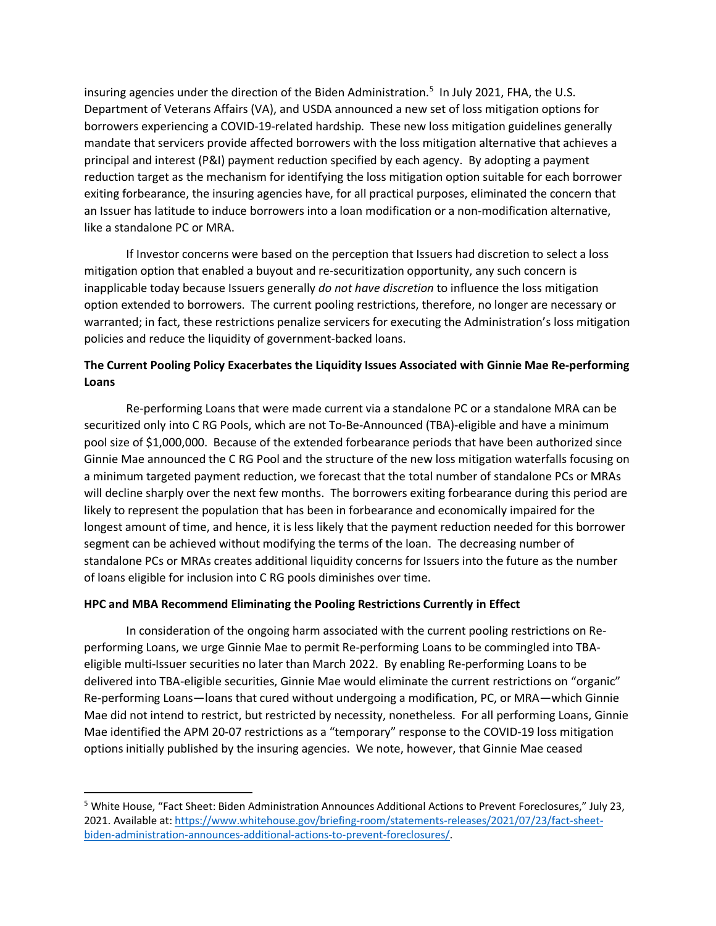insuring agencies under the direction of the Biden Administration.<sup>5</sup> In July 2021, FHA, the U.S. Department of Veterans Affairs (VA), and USDA announced a new set of loss mitigation options for borrowers experiencing a COVID-19-related hardship. These new loss mitigation guidelines generally mandate that servicers provide affected borrowers with the loss mitigation alternative that achieves a principal and interest (P&I) payment reduction specified by each agency. By adopting a payment reduction target as the mechanism for identifying the loss mitigation option suitable for each borrower exiting forbearance, the insuring agencies have, for all practical purposes, eliminated the concern that an Issuer has latitude to induce borrowers into a loan modification or a non-modification alternative, like a standalone PC or MRA.

If Investor concerns were based on the perception that Issuers had discretion to select a loss mitigation option that enabled a buyout and re-securitization opportunity, any such concern is inapplicable today because Issuers generally *do not have discretion* to influence the loss mitigation option extended to borrowers. The current pooling restrictions, therefore, no longer are necessary or warranted; in fact, these restrictions penalize servicers for executing the Administration's loss mitigation policies and reduce the liquidity of government-backed loans.

## **The Current Pooling Policy Exacerbates the Liquidity Issues Associated with Ginnie Mae Re-performing Loans**

Re-performing Loans that were made current via a standalone PC or a standalone MRA can be securitized only into C RG Pools, which are not To-Be-Announced (TBA)-eligible and have a minimum pool size of \$1,000,000. Because of the extended forbearance periods that have been authorized since Ginnie Mae announced the C RG Pool and the structure of the new loss mitigation waterfalls focusing on a minimum targeted payment reduction, we forecast that the total number of standalone PCs or MRAs will decline sharply over the next few months. The borrowers exiting forbearance during this period are likely to represent the population that has been in forbearance and economically impaired for the longest amount of time, and hence, it is less likely that the payment reduction needed for this borrower segment can be achieved without modifying the terms of the loan. The decreasing number of standalone PCs or MRAs creates additional liquidity concerns for Issuers into the future as the number of loans eligible for inclusion into C RG pools diminishes over time.

## **HPC and MBA Recommend Eliminating the Pooling Restrictions Currently in Effect**

In consideration of the ongoing harm associated with the current pooling restrictions on Reperforming Loans, we urge Ginnie Mae to permit Re-performing Loans to be commingled into TBAeligible multi-Issuer securities no later than March 2022. By enabling Re-performing Loans to be delivered into TBA-eligible securities, Ginnie Mae would eliminate the current restrictions on "organic" Re-performing Loans—loans that cured without undergoing a modification, PC, or MRA—which Ginnie Mae did not intend to restrict, but restricted by necessity, nonetheless. For all performing Loans, Ginnie Mae identified the APM 20-07 restrictions as a "temporary" response to the COVID-19 loss mitigation options initially published by the insuring agencies. We note, however, that Ginnie Mae ceased

<span id="page-2-0"></span><sup>5</sup> White House, "Fact Sheet: Biden Administration Announces Additional Actions to Prevent Foreclosures," July 23, 2021. Available at: [https://www.whitehouse.gov/briefing-room/statements-releases/2021/07/23/fact-sheet](https://www.whitehouse.gov/briefing-room/statements-releases/2021/07/23/fact-sheet-biden-administration-announces-additional-actions-to-prevent-foreclosures/)[biden-administration-announces-additional-actions-to-prevent-foreclosures/.](https://www.whitehouse.gov/briefing-room/statements-releases/2021/07/23/fact-sheet-biden-administration-announces-additional-actions-to-prevent-foreclosures/)